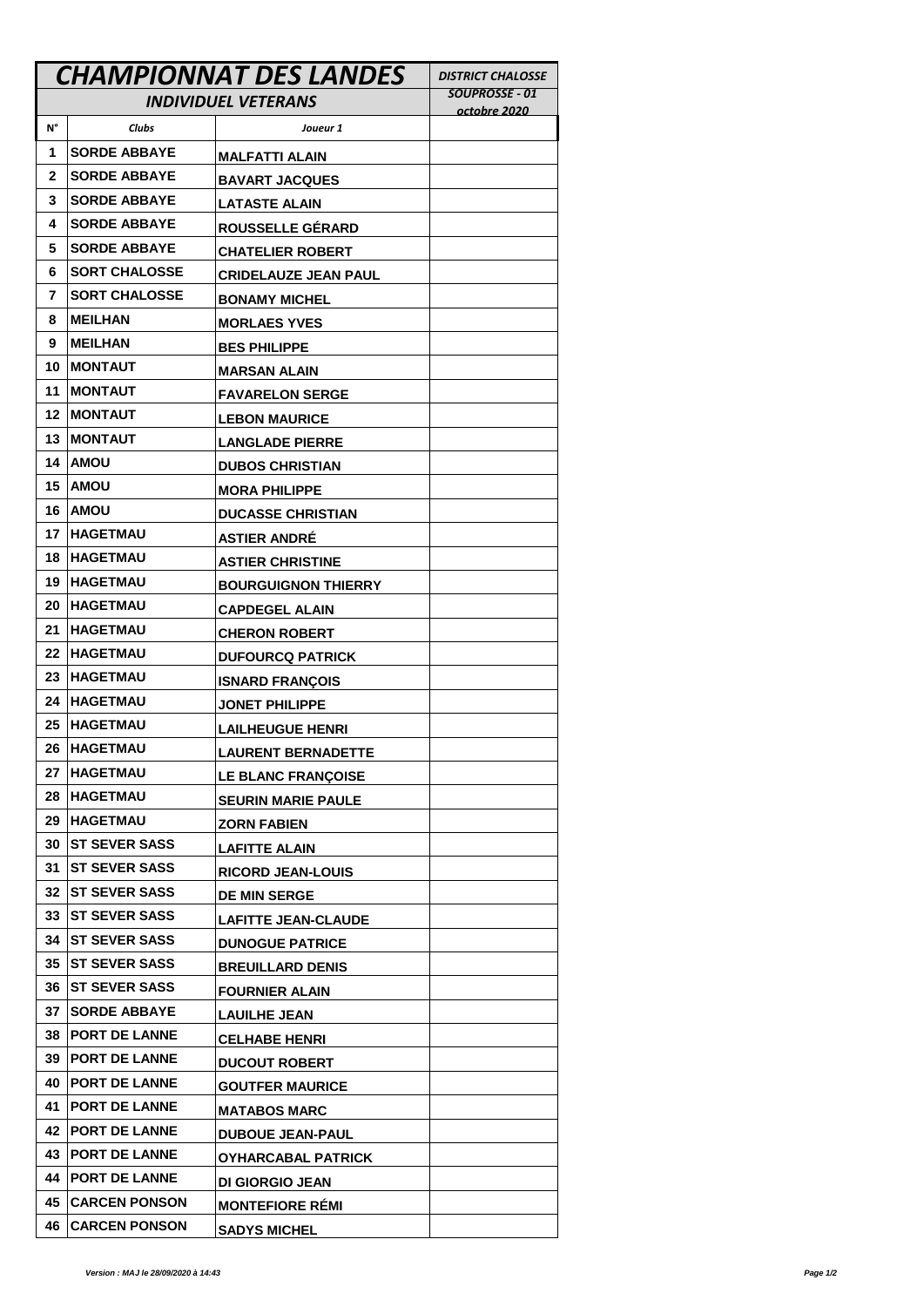|                            | <b>CHAMPIONNAT DES LANDES</b> | <b>DISTRICT CHALOSSE</b>                         |                |
|----------------------------|-------------------------------|--------------------------------------------------|----------------|
| <b>INDIVIDUEL VETERANS</b> |                               |                                                  | SOUPROSSE - 01 |
| N°                         | <b>Clubs</b>                  | Joueur 1                                         | octobre 2020   |
| 1                          | <b>SORDE ABBAYE</b>           | <b>MALFATTI ALAIN</b>                            |                |
| 2                          | <b>SORDE ABBAYE</b>           | <b>BAVART JACQUES</b>                            |                |
| 3                          | <b>SORDE ABBAYE</b>           | <b>LATASTE ALAIN</b>                             |                |
| 4                          | <b>SORDE ABBAYE</b>           | ROUSSELLE GÉRARD                                 |                |
| 5                          | <b>SORDE ABBAYE</b>           | <b>CHATELIER ROBERT</b>                          |                |
| 6                          | <b>SORT CHALOSSE</b>          | <b>CRIDELAUZE JEAN PAUL</b>                      |                |
| 7                          | <b>SORT CHALOSSE</b>          | <b>BONAMY MICHEL</b>                             |                |
| 8                          | <b>MEILHAN</b>                | <b>MORLAES YVES</b>                              |                |
| 9                          | <b>MEILHAN</b>                | <b>BES PHILIPPE</b>                              |                |
| 10                         | <b>MONTAUT</b>                | <b>MARSAN ALAIN</b>                              |                |
| 11                         | <b>MONTAUT</b>                | <b>FAVARELON SERGE</b>                           |                |
| 12                         | <b>IMONTAUT</b>               | <b>LEBON MAURICE</b>                             |                |
| 13                         | <b>IMONTAUT</b>               | <b>LANGLADE PIERRE</b>                           |                |
| 14                         | <b>AMOU</b>                   | <b>DUBOS CHRISTIAN</b>                           |                |
| 15                         | <b>AMOU</b>                   | <b>MORA PHILIPPE</b>                             |                |
| 16                         | <b>AMOU</b>                   | <b>DUCASSE CHRISTIAN</b>                         |                |
| 17                         | <b>IHAGETMAU</b>              | <b>ASTIER ANDRÉ</b>                              |                |
| 18                         | <b>IHAGETMAU</b>              | <b>ASTIER CHRISTINE</b>                          |                |
| 19                         | <b>IHAGETMAU</b>              | <b>BOURGUIGNON THIERRY</b>                       |                |
| 20                         | <b>IHAGETMAU</b>              | <b>CAPDEGEL ALAIN</b>                            |                |
| 21                         | <b>HAGETMAU</b>               | <b>CHERON ROBERT</b>                             |                |
| 22                         | <b>HAGETMAU</b>               | <b>DUFOURCQ PATRICK</b>                          |                |
| 23                         | <b>HAGETMAU</b>               | <b>ISNARD FRANCOIS</b>                           |                |
| 24                         | <b>IHAGETMAU</b>              | <b>JONET PHILIPPE</b>                            |                |
| 25                         | <b>IHAGETMAU</b>              | <b>LAILHEUGUE HENRI</b>                          |                |
| 26                         | <b>HAGETMAU</b>               | <b>LAURENT BERNADETTE</b>                        |                |
| 27                         | <b>HAGETMAU</b>               | <b>LE BLANC FRANCOISE</b>                        |                |
| 28                         | <b>HAGETMAU</b>               | <b>SEURIN MARIE PAULE</b>                        |                |
| 29                         | <b>HAGETMAU</b>               | <b>ZORN FABIEN</b>                               |                |
| 30                         | <b>IST SEVER SASS</b>         | <b>LAFITTE ALAIN</b>                             |                |
| 31                         | <b>IST SEVER SASS</b>         | <b>RICORD JEAN-LOUIS</b>                         |                |
| 32                         | <b>IST SEVER SASS</b>         | <b>DE MIN SERGE</b>                              |                |
| 33                         | <b>IST SEVER SASS</b>         | <b>LAFITTE JEAN-CLAUDE</b>                       |                |
| 34                         | <b>IST SEVER SASS</b>         | <b>DUNOGUE PATRICE</b>                           |                |
| 35                         | <b>IST SEVER SASS</b>         | <b>BREUILLARD DENIS</b>                          |                |
| 36                         | <b>IST SEVER SASS</b>         | <b>FOURNIER ALAIN</b>                            |                |
| 37                         | <b>SORDE ABBAYE</b>           | <b>LAUILHE JEAN</b>                              |                |
| 38                         | <b>PORT DE LANNE</b>          |                                                  |                |
| 39                         | <b>PORT DE LANNE</b>          | <b>CELHABE HENRI</b><br><b>DUCOUT ROBERT</b>     |                |
| 40                         | <b>PORT DE LANNE</b>          |                                                  |                |
| 41                         | <b>PORT DE LANNE</b>          | <b>GOUTFER MAURICE</b>                           |                |
| 42                         | <b>IPORT DE LANNE</b>         | <b>MATABOS MARC</b>                              |                |
| 43                         | <b>PORT DE LANNE</b>          | <b>DUBOUE JEAN-PAUL</b>                          |                |
| 44                         | <b>PORT DE LANNE</b>          | <b>OYHARCABAL PATRICK</b>                        |                |
| 45                         | <b>CARCEN PONSON</b>          | <b>DI GIORGIO JEAN</b><br><b>MONTEFIORE REMI</b> |                |
| 46                         | <b>CARCEN PONSON</b>          | <b>SADYS MICHEL</b>                              |                |